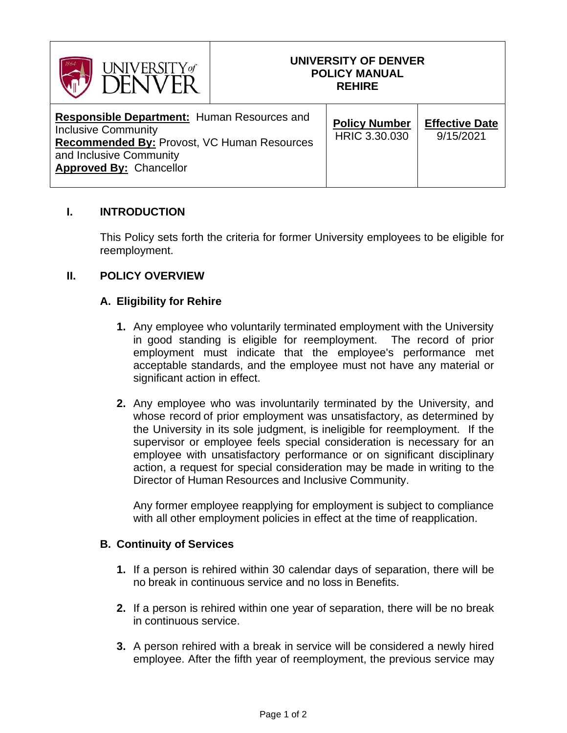

#### **UNIVERSITY OF DENVER POLICY MANUAL REHIRE**

| <b>Responsible Department: Human Resources and</b><br><b>Inclusive Community</b><br>Recommended By: Provost, VC Human Resources<br>and Inclusive Community<br><b>Approved By: Chancellor</b> | <b>Policy Number</b><br>HRIC 3.30.030 | <b>Effective Date</b><br>9/15/2021 |
|----------------------------------------------------------------------------------------------------------------------------------------------------------------------------------------------|---------------------------------------|------------------------------------|
|----------------------------------------------------------------------------------------------------------------------------------------------------------------------------------------------|---------------------------------------|------------------------------------|

## **I. INTRODUCTION**

This Policy sets forth the criteria for former University employees to be eligible for reemployment.

#### **II. POLICY OVERVIEW**

## **A. Eligibility for Rehire**

- **1.** Any employee who voluntarily terminated employment with the University in good standing is eligible for reemployment. The record of prior employment must indicate that the employee's performance met acceptable standards, and the employee must not have any material or significant action in effect.
- **2.** Any employee who was involuntarily terminated by the University, and whose record of prior employment was unsatisfactory, as determined by the University in its sole judgment, is ineligible for reemployment. If the supervisor or employee feels special consideration is necessary for an employee with unsatisfactory performance or on significant disciplinary action, a request for special consideration may be made in writing to the Director of Human Resources and Inclusive Community.

Any former employee reapplying for employment is subject to compliance with all other employment policies in effect at the time of reapplication.

#### **B. Continuity of Services**

- **1.** If a person is rehired within 30 calendar days of separation, there will be no break in continuous service and no loss in Benefits.
- **2.** If a person is rehired within one year of separation, there will be no break in continuous service.
- **3.** A person rehired with a break in service will be considered a newly hired employee. After the fifth year of reemployment, the previous service may